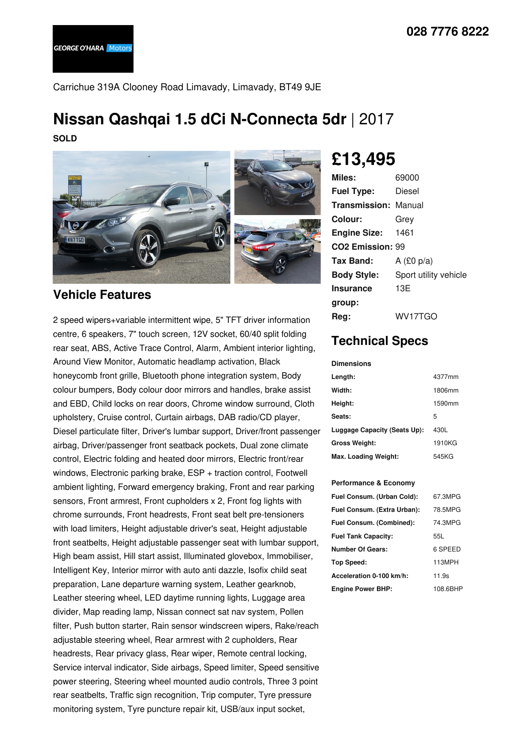Carrichue 319A Clooney Road Limavady, Limavady, BT49 9JE

# **Nissan Qashqai 1.5 dCi N-Connecta 5dr** |2017

**SOLD**



### **Vehicle Features**

2 speed wipers+variable intermittent wipe, 5" TFT driver information centre, 6 speakers, 7" touch screen, 12V socket, 60/40 split folding rear seat, ABS, Active Trace Control, Alarm, Ambient interior lighting, Around View Monitor, Automatic headlamp activation, Black honeycomb front grille, Bluetooth phone integration system, Body colour bumpers, Body colour door mirrors and handles, brake assist and EBD, Child locks on rear doors, Chrome window surround, Cloth upholstery, Cruise control, Curtain airbags, DAB radio/CD player, Diesel particulate filter, Driver's lumbar support, Driver/front passenger airbag, Driver/passenger front seatback pockets, Dual zone climate control, Electric folding and heated door mirrors, Electric front/rear windows, Electronic parking brake, ESP + traction control, Footwell ambient lighting, Forward emergency braking, Front and rear parking sensors, Front armrest, Front cupholders x 2, Front fog lights with chrome surrounds, Front headrests, Front seat belt pre-tensioners with load limiters, Height adjustable driver's seat, Height adjustable front seatbelts, Height adjustable passenger seat with lumbar support, High beam assist, Hill start assist, Illuminated glovebox, Immobiliser, Intelligent Key, Interior mirror with auto anti dazzle, Isofix child seat preparation, Lane departure warning system, Leather gearknob, Leather steering wheel, LED daytime running lights, Luggage area divider, Map reading lamp, Nissan connect sat nav system, Pollen filter, Push button starter, Rain sensor windscreen wipers, Rake/reach adjustable steering wheel, Rear armrest with 2 cupholders, Rear headrests, Rear privacy glass, Rear wiper, Remote central locking, Service interval indicator, Side airbags, Speed limiter, Speed sensitive power steering, Steering wheel mounted audio controls, Three 3 point rear seatbelts, Traffic sign recognition, Trip computer, Tyre pressure monitoring system, Tyre puncture repair kit, USB/aux input socket,

## **£13,495**

| Miles:                       | 69000                 |
|------------------------------|-----------------------|
| <b>Fuel Type:</b>            | Diesel                |
| <b>Transmission: Manual</b>  |                       |
| Colour:                      | Grey                  |
| <b>Engine Size: 1461</b>     |                       |
| CO <sub>2</sub> Emission: 99 |                       |
| <b>Tax Band:</b>             | A $(E0 p/a)$          |
| <b>Body Style:</b>           | Sport utility vehicle |
| <b>Insurance</b>             | 13E                   |
| group:                       |                       |
| Reg:                         | WV17TGO               |

## **Technical Specs**

#### **Dimensions**

| Length:                      | 4377mm |
|------------------------------|--------|
| Width:                       | 1806mm |
| Height:                      | 1590mm |
| Seats:                       | 5      |
| Luggage Capacity (Seats Up): | 430L   |
| <b>Gross Weight:</b>         | 1910KG |
| Max. Loading Weight:         | 545KG  |

### **Performance & Economy**

| Fuel Consum. (Urban Cold):  | 67.3MPG  |
|-----------------------------|----------|
| Fuel Consum. (Extra Urban): | 78.5MPG  |
| Fuel Consum. (Combined):    | 74.3MPG  |
| <b>Fuel Tank Capacity:</b>  | 55L      |
| Number Of Gears:            | 6 SPEED  |
| Top Speed:                  | 113MPH   |
| Acceleration 0-100 km/h:    | 11.9s    |
| <b>Engine Power BHP:</b>    | 108.6BHP |